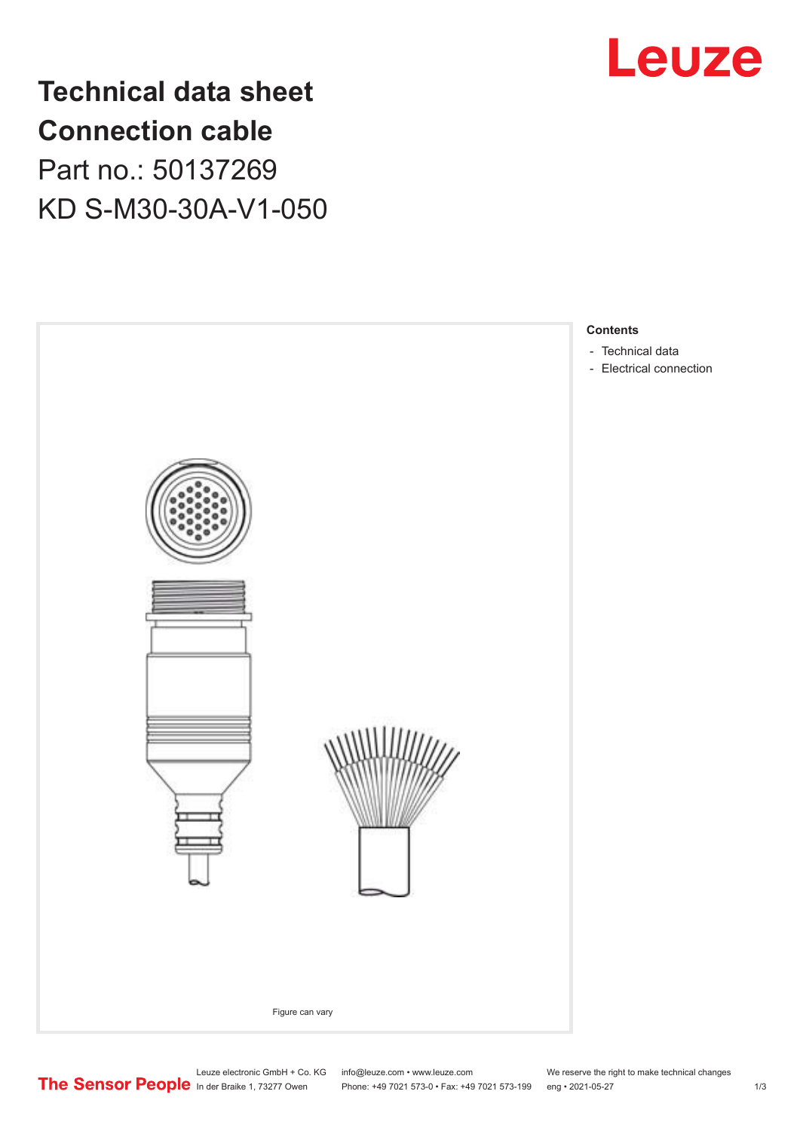

**Technical data sheet Connection cable** Part no.: 50137269 KD S-M30-30A-V1-050



Leuze electronic GmbH + Co. KG info@leuze.com • www.leuze.com We reserve the right to make technical changes

In der Braike 1, 73277 Owen Phone: +49 7021 573-0 • Fax: +49 7021 573-199 eng • 2021-05-27 1 /3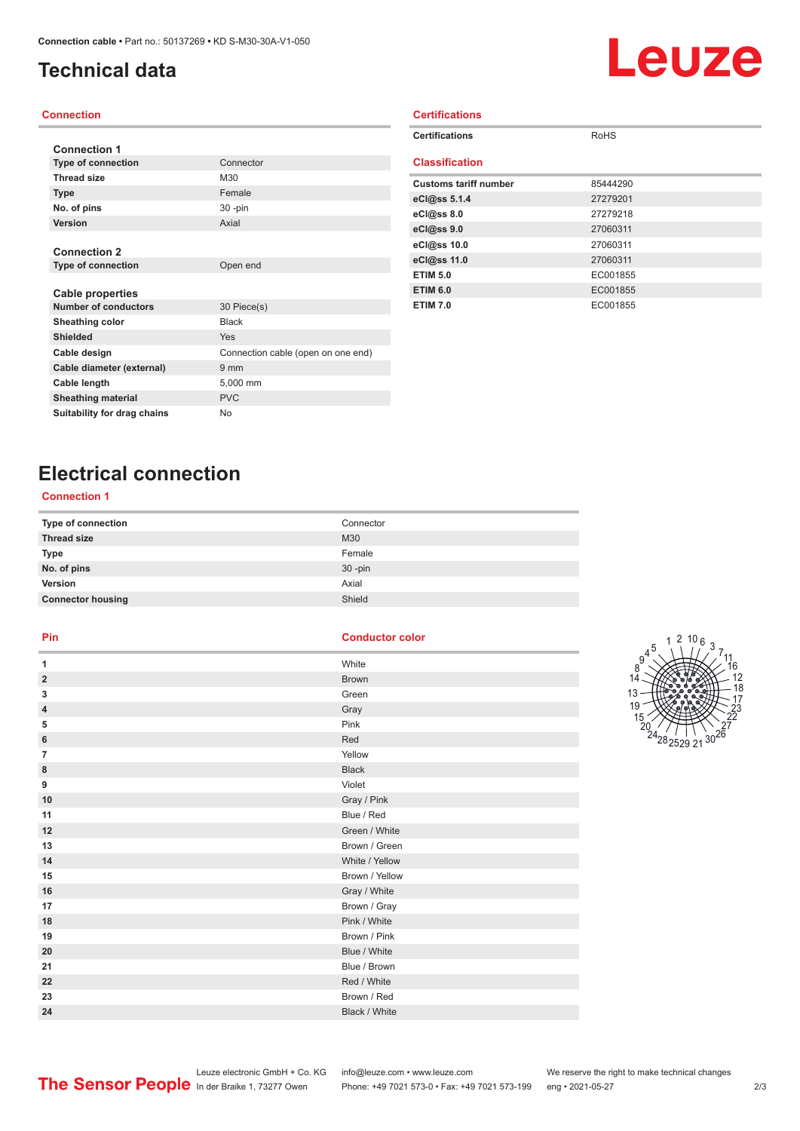# <span id="page-1-0"></span>**Technical data**

# Leuze

### **Connection**

| <b>Connection 1</b>         |                                    |
|-----------------------------|------------------------------------|
| <b>Type of connection</b>   | Connector                          |
| <b>Thread size</b>          | M30                                |
| <b>Type</b>                 | Female                             |
| No. of pins                 | $30 - pin$                         |
| Version                     | Axial                              |
|                             |                                    |
| <b>Connection 2</b>         |                                    |
| <b>Type of connection</b>   | Open end                           |
|                             |                                    |
| <b>Cable properties</b>     |                                    |
| <b>Number of conductors</b> | 30 Piece(s)                        |
| <b>Sheathing color</b>      | <b>Black</b>                       |
| <b>Shielded</b>             | Yes                                |
| Cable design                | Connection cable (open on one end) |
| Cable diameter (external)   | 9 <sub>mm</sub>                    |
| Cable length                | 5,000 mm                           |
| <b>Sheathing material</b>   | <b>PVC</b>                         |
| Suitability for drag chains | <b>No</b>                          |

| <b>Certifications</b>        |             |
|------------------------------|-------------|
| <b>Certifications</b>        | <b>RoHS</b> |
| <b>Classification</b>        |             |
| <b>Customs tariff number</b> | 85444290    |
| eCl@ss 5.1.4                 | 27279201    |
| eC <sub>1</sub> @ss 8.0      | 27279218    |
| eC <sub>1</sub> @ss 9.0      | 27060311    |
| eCl@ss 10.0                  | 27060311    |
| eCl@ss 11.0                  | 27060311    |
| <b>ETIM 5.0</b>              | EC001855    |
| <b>ETIM 6.0</b>              | EC001855    |
| <b>ETIM 7.0</b>              | EC001855    |

# **Electrical connection**

## **Connection 1**

| Type of connection       | Connector  |
|--------------------------|------------|
| <b>Thread size</b>       | M30        |
| Type                     | Female     |
| No. of pins              | $30 - pin$ |
| Version                  | Axial      |
| <b>Connector housing</b> | Shield     |

### **Pin Conductor color**

| 1                       | White          |
|-------------------------|----------------|
| $\overline{\mathbf{2}}$ | <b>Brown</b>   |
| 3                       | Green          |
| 4                       | Gray           |
| 5                       | Pink           |
| 6                       | Red            |
| 7                       | Yellow         |
| 8                       | <b>Black</b>   |
| 9                       | Violet         |
| 10                      | Gray / Pink    |
| 11                      | Blue / Red     |
| 12                      | Green / White  |
| 13                      | Brown / Green  |
| 14                      | White / Yellow |
| 15                      | Brown / Yellow |
| 16                      | Gray / White   |
| 17                      | Brown / Gray   |
| 18                      | Pink / White   |
| 19                      | Brown / Pink   |
| 20                      | Blue / White   |
| 21                      | Blue / Brown   |
| 22                      | Red / White    |
| 23                      | Brown / Red    |
| 24                      | Black / White  |
|                         |                |